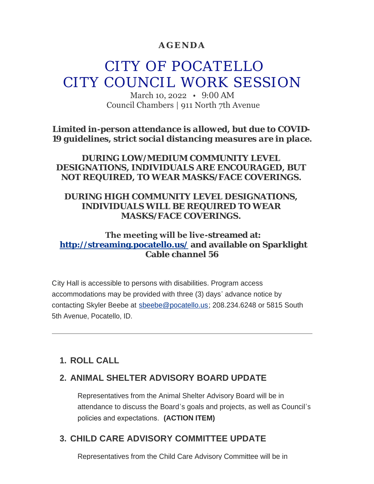## **AGENDA**

# CITY OF POCATELLO CITY COUNCIL WORK SESSION

March 10, 2022 • 9:00 AM Council Chambers | 911 North 7th Avenue

*Limited in-person attendance is allowed, but due to COVID-19 guidelines, strict social distancing measures are in place.*

*DURING LOW/MEDIUM COMMUNITY LEVEL DESIGNATIONS, INDIVIDUALS ARE ENCOURAGED, BUT NOT REQUIRED, TO WEAR MASKS/FACE COVERINGS.*

## *DURING HIGH COMMUNITY LEVEL DESIGNATIONS, INDIVIDUALS WILL BE REQUIRED TO WEAR MASKS/FACE COVERINGS.*

## **The meeting will be live-streamed at: <http://streaming.pocatello.us/> and available on Sparklight Cable channel 56**

City Hall is accessible to persons with disabilities. Program access accommodations may be provided with three (3) days' advance notice by contacting Skyler Beebe at [sbeebe@pocatello.us;](mailto:sbeebe@pocatello.us) 208.234.6248 or 5815 South 5th Avenue, Pocatello, ID.

# **ROLL CALL 1.**

## **ANIMAL SHELTER ADVISORY BOARD UPDATE 2.**

Representatives from the Animal Shelter Advisory Board will be in attendance to discuss the Board's goals and projects, as well as Council's policies and expectations. **(ACTION ITEM)**

# **CHILD CARE ADVISORY COMMITTEE UPDATE 3.**

Representatives from the Child Care Advisory Committee will be in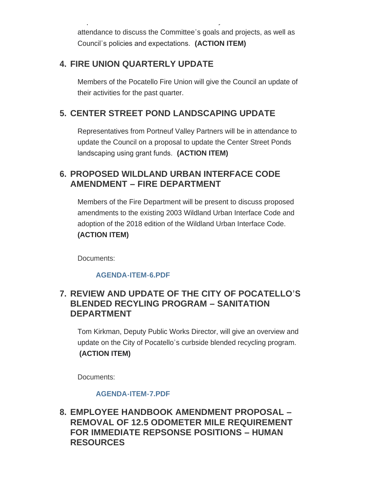attendance to discuss the Committee's goals and projects, as well as Council's policies and expectations. **(ACTION ITEM)**

Representatives from the Child Care Advisory Committee will be in

# **FIRE UNION QUARTERLY UPDATE 4.**

Members of the Pocatello Fire Union will give the Council an update of their activities for the past quarter.

# **CENTER STREET POND LANDSCAPING UPDATE 5.**

Representatives from Portneuf Valley Partners will be in attendance to update the Council on a proposal to update the Center Street Ponds landscaping using grant funds. **(ACTION ITEM)**

# **PROPOSED WILDLAND URBAN INTERFACE CODE 6. AMENDMENT – FIRE DEPARTMENT**

Members of the Fire Department will be present to discuss proposed amendments to the existing 2003 Wildland Urban Interface Code and adoption of the 2018 edition of the Wildland Urban Interface Code. **(ACTION ITEM)**

Documents:

### **[AGENDA-ITEM-6.PDF](https://www.pocatello.us/AgendaCenter/ViewFile/Item/3265?fileID=10631)**

# **REVIEW AND UPDATE OF THE CITY OF POCATELLO'S 7. BLENDED RECYLING PROGRAM – SANITATION DEPARTMENT**

Tom Kirkman, Deputy Public Works Director, will give an overview and update on the City of Pocatello's curbside blended recycling program. **(ACTION ITEM)**

Documents:

### **[AGENDA-ITEM-7.PDF](https://www.pocatello.us/AgendaCenter/ViewFile/Item/3266?fileID=10632)**

**EMPLOYEE HANDBOOK AMENDMENT PROPOSAL – 8. REMOVAL OF 12.5 ODOMETER MILE REQUIREMENT FOR IMMEDIATE REPSONSE POSITIONS – HUMAN RESOURCES**